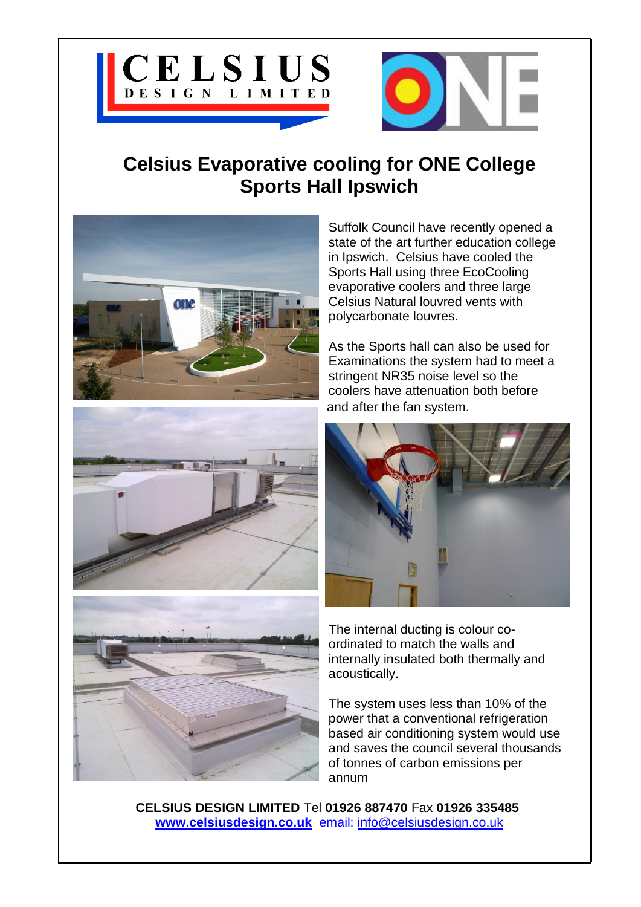



## **Celsius Evaporative cooling for ONE College Sports Hall Ipswich**







Suffolk Council have recently opened a state of the art further education college in Ipswich. Celsius have cooled the Sports Hall using three EcoCooling evaporative coolers and three large Celsius Natural louvred vents with polycarbonate louvres.

As the Sports hall can also be used for Examinations the system had to meet a stringent NR35 noise level so the coolers have attenuation both before and after the fan system.



The internal ducting is colour coordinated to match the walls and internally insulated both thermally and acoustically.

The system uses less than 10% of the power that a conventional refrigeration based air conditioning system would use and saves the council several thousands of tonnes of carbon emissions per annum

**CELSIUS DESIGN LIMITED** Tel **01926 887470** Fax **01926 335485 [www.celsiusdesign.co.uk](http://www.celsiusdesign.co.uk/)** email: [info@celsiusdesign.co.uk](mailto:info@celsiusdesign.co.uk)